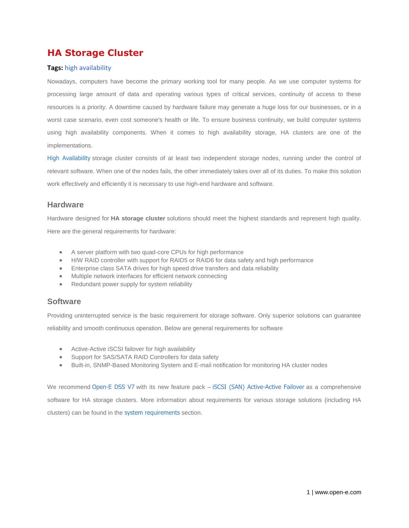# **HA Storage Cluster**

#### **Tags:** [high availability](http://www.open-e.com/solutions/tagged/high-availability/)

Nowadays, computers have become the primary working tool for many people. As we use computer systems for processing large amount of data and operating various types of critical services, continuity of access to these resources is a priority. A downtime caused by hardware failure may generate a huge loss for our businesses, or in a worst case scenario, even cost someone's health or life. To ensure business continuity, we build computer systems using high availability components. When it comes to high availability storage, HA clusters are one of the implementations.

[High Availability](http://www.open-e.com/solutions/high-availability/) storage cluster consists of at least two independent storage nodes, running under the control of relevant software. When one of the nodes fails, the other immediately takes over all of its duties. To make this solution work effectively and efficiently it is necessary to use high-end hardware and software.

## **Hardware**

Hardware designed for **HA storage cluster** solutions should meet the highest standards and represent high quality. Here are the general requirements for hardware:

- A server platform with two quad-core CPUs for high performance
- H/W RAID controller with support for RAID5 or RAID6 for data safety and high performance
- Enterprise class SATA drives for high speed drive transfers and data reliability
- Multiple network interfaces for efficient network connecting
- Redundant power supply for system reliability

## **Software**

Providing uninterrupted service is the basic requirement for storage software. Only superior solutions can guarantee reliability and smooth continuous operation. Below are general requirements for software

- Active-Active iSCSI failover for high availability
- Support for SAS/SATA RAID Controllers for data safety
- Built-in, SNMP-Based Monitoring System and E-mail notification for monitoring HA cluster nodes

We recommend [Open-E DSS V7](http://www.open-e.com/products/open-e-data-storage-software-v7/) with its new feature pack – [iSCSI \(SAN\) Active-Active Failover](http://www.open-e.com/products/automatic-failover-iscsi-volumes/) as a comprehensive software for HA storage clusters. More information about requirements for various storage solutions (including HA clusters) can be found in the [system requirements](http://www.open-e.com/products/system-requirements/) section.